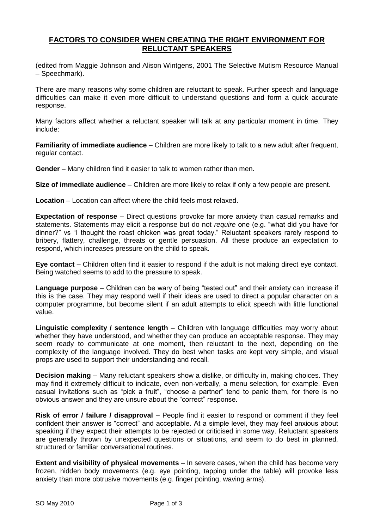## **FACTORS TO CONSIDER WHEN CREATING THE RIGHT ENVIRONMENT FOR RELUCTANT SPEAKERS**

(edited from Maggie Johnson and Alison Wintgens, 2001 The Selective Mutism Resource Manual – Speechmark).

There are many reasons why some children are reluctant to speak. Further speech and language difficulties can make it even more difficult to understand questions and form a quick accurate response.

Many factors affect whether a reluctant speaker will talk at any particular moment in time. They include:

**Familiarity of immediate audience** – Children are more likely to talk to a new adult after frequent, regular contact.

**Gender** – Many children find it easier to talk to women rather than men.

**Size of immediate audience** – Children are more likely to relax if only a few people are present.

**Location** – Location can affect where the child feels most relaxed.

**Expectation of response** – Direct questions provoke far more anxiety than casual remarks and statements. Statements may elicit a response but do not *require* one (e.g. "what did you have for dinner?" vs "I thought the roast chicken was great today." Reluctant speakers rarely respond to bribery, flattery, challenge, threats or gentle persuasion. All these produce an expectation to respond, which increases pressure on the child to speak.

**Eye contact** – Children often find it easier to respond if the adult is not making direct eye contact. Being watched seems to add to the pressure to speak.

**Language purpose** – Children can be wary of being "tested out" and their anxiety can increase if this is the case. They may respond well if their ideas are used to direct a popular character on a computer programme, but become silent if an adult attempts to elicit speech with little functional value.

**Linguistic complexity / sentence length** – Children with language difficulties may worry about whether they have understood, and whether they can produce an acceptable response. They may seem ready to communicate at one moment, then reluctant to the next, depending on the complexity of the language involved. They do best when tasks are kept very simple, and visual props are used to support their understanding and recall.

**Decision making** – Many reluctant speakers show a dislike, or difficulty in, making choices. They may find it extremely difficult to indicate, even non-verbally, a menu selection, for example. Even casual invitations such as "pick a fruit", "choose a partner" tend to panic them, for there is no obvious answer and they are unsure about the "correct" response.

**Risk of error / failure / disapproval** – People find it easier to respond or comment if they feel confident their answer is "correct" and acceptable. At a simple level, they may feel anxious about speaking if they expect their attempts to be rejected or criticised in some way. Reluctant speakers are generally thrown by unexpected questions or situations, and seem to do best in planned, structured or familiar conversational routines.

**Extent and visibility of physical movements** – In severe cases, when the child has become very frozen, hidden body movements (e.g. eye pointing, tapping under the table) will provoke less anxiety than more obtrusive movements (e.g. finger pointing, waving arms).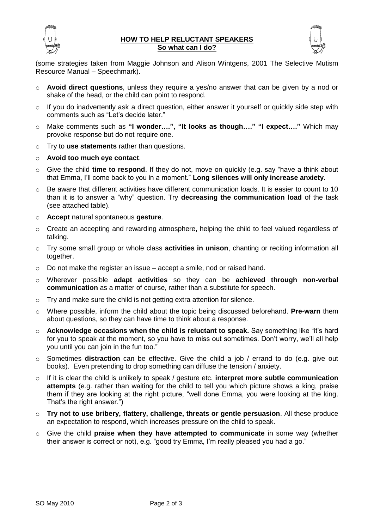

## **HOW TO HELP RELUCTANT SPEAKERS So what can I do?**



(some strategies taken from Maggie Johnson and Alison Wintgens, 2001 The Selective Mutism Resource Manual – Speechmark).

- o **Avoid direct questions**, unless they require a yes/no answer that can be given by a nod or shake of the head, or the child can point to respond.
- $\circ$  If you do inadvertently ask a direct question, either answer it yourself or quickly side step with comments such as "Let's decide later."
- o Make comments such as **"I wonder….", "It looks as though…." "I expect…."** Which may provoke response but do not require one.
- o Try to **use statements** rather than questions.
- o **Avoid too much eye contact**.
- o Give the child **time to respond**. If they do not, move on quickly (e.g. say "have a think about that Emma, I'll come back to you in a moment." **Long silences will only increase anxiety**.
- o Be aware that different activities have different communication loads. It is easier to count to 10 than it is to answer a "why" question. Try **decreasing the communication load** of the task (see attached table).
- o **Accept** natural spontaneous **gesture**.
- o Create an accepting and rewarding atmosphere, helping the child to feel valued regardless of talking.
- o Try some small group or whole class **activities in unison**, chanting or reciting information all together.
- $\circ$  Do not make the register an issue accept a smile, nod or raised hand.
- o Wherever possible **adapt activities** so they can be **achieved through non-verbal communication** as a matter of course, rather than a substitute for speech.
- o Try and make sure the child is not getting extra attention for silence.
- o Where possible, inform the child about the topic being discussed beforehand. **Pre-warn** them about questions, so they can have time to think about a response.
- o **Acknowledge occasions when the child is reluctant to speak.** Say something like "it's hard for you to speak at the moment, so you have to miss out sometimes. Don't worry, we'll all help you until you can join in the fun too."
- o Sometimes **distraction** can be effective. Give the child a job / errand to do (e.g. give out books). Even pretending to drop something can diffuse the tension / anxiety.
- o If it is clear the child is unlikely to speak / gesture etc. **interpret more subtle communication attempts** (e.g. rather than waiting for the child to tell you which picture shows a king, praise them if they are looking at the right picture, "well done Emma, you were looking at the king. That's the right answer.")
- o **Try not to use bribery, flattery, challenge, threats or gentle persuasion**. All these produce an expectation to respond, which increases pressure on the child to speak.
- o Give the child **praise when they have attempted to communicate** in some way (whether their answer is correct or not), e.g. "good try Emma, I'm really pleased you had a go."